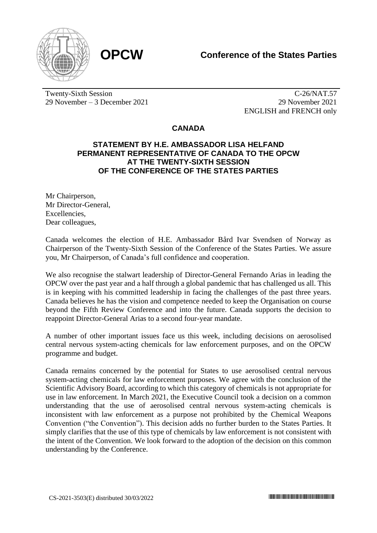



Twenty-Sixth Session 29 November – 3 December 2021

C-26/NAT.57 29 November 2021 ENGLISH and FRENCH only

## **CANADA**

## **STATEMENT BY H.E. AMBASSADOR LISA HELFAND PERMANENT REPRESENTATIVE OF CANADA TO THE OPCW AT THE TWENTY-SIXTH SESSION OF THE CONFERENCE OF THE STATES PARTIES**

Mr Chairperson, Mr Director-General, **Excellencies** Dear colleagues,

Canada welcomes the election of H.E. Ambassador Bård Ivar Svendsen of Norway as Chairperson of the Twenty-Sixth Session of the Conference of the States Parties. We assure you, Mr Chairperson, of Canada's full confidence and cooperation.

We also recognise the stalwart leadership of Director-General Fernando Arias in leading the OPCW over the past year and a half through a global pandemic that has challenged us all. This is in keeping with his committed leadership in facing the challenges of the past three years. Canada believes he has the vision and competence needed to keep the Organisation on course beyond the Fifth Review Conference and into the future. Canada supports the decision to reappoint Director-General Arias to a second four-year mandate.

A number of other important issues face us this week, including decisions on aerosolised central nervous system-acting chemicals for law enforcement purposes, and on the OPCW programme and budget.

Canada remains concerned by the potential for States to use aerosolised central nervous system-acting chemicals for law enforcement purposes. We agree with the conclusion of the Scientific Advisory Board, according to which this category of chemicals is not appropriate for use in law enforcement. In March 2021, the Executive Council took a decision on a common understanding that the use of aerosolised central nervous system-acting chemicals is inconsistent with law enforcement as a purpose not prohibited by the Chemical Weapons Convention ("the Convention"). This decision adds no further burden to the States Parties. It simply clarifies that the use of this type of chemicals by law enforcement is not consistent with the intent of the Convention. We look forward to the adoption of the decision on this common understanding by the Conference.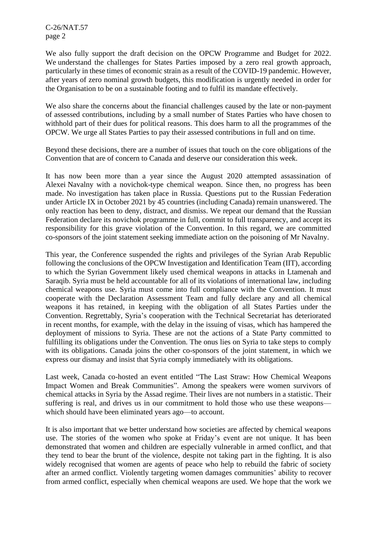C-26/NAT.57 page 2

We also fully support the draft decision on the OPCW Programme and Budget for 2022. We understand the challenges for States Parties imposed by a zero real growth approach, particularly in these times of economic strain as a result of the COVID-19 pandemic. However, after years of zero nominal growth budgets, this modification is urgently needed in order for the Organisation to be on a sustainable footing and to fulfil its mandate effectively.

We also share the concerns about the financial challenges caused by the late or non-payment of assessed contributions, including by a small number of States Parties who have chosen to withhold part of their dues for political reasons. This does harm to all the programmes of the OPCW. We urge all States Parties to pay their assessed contributions in full and on time.

Beyond these decisions, there are a number of issues that touch on the core obligations of the Convention that are of concern to Canada and deserve our consideration this week.

It has now been more than a year since the August 2020 attempted assassination of Alexei Navalny with a novichok-type chemical weapon. Since then, no progress has been made. No investigation has taken place in Russia. Questions put to the Russian Federation under Article IX in October 2021 by 45 countries (including Canada) remain unanswered. The only reaction has been to deny, distract, and dismiss. We repeat our demand that the Russian Federation declare its novichok programme in full, commit to full transparency, and accept its responsibility for this grave violation of the Convention. In this regard, we are committed co-sponsors of the joint statement seeking immediate action on the poisoning of Mr Navalny.

This year, the Conference suspended the rights and privileges of the Syrian Arab Republic following the conclusions of the OPCW Investigation and Identification Team (IIT), according to which the Syrian Government likely used chemical weapons in attacks in Ltamenah and Saraqib. Syria must be held accountable for all of its violations of international law, including chemical weapons use. Syria must come into full compliance with the Convention. It must cooperate with the Declaration Assessment Team and fully declare any and all chemical weapons it has retained, in keeping with the obligation of all States Parties under the Convention. Regrettably, Syria's cooperation with the Technical Secretariat has deteriorated in recent months, for example, with the delay in the issuing of visas, which has hampered the deployment of missions to Syria. These are not the actions of a State Party committed to fulfilling its obligations under the Convention. The onus lies on Syria to take steps to comply with its obligations. Canada joins the other co-sponsors of the joint statement, in which we express our dismay and insist that Syria comply immediately with its obligations.

Last week, Canada co-hosted an event entitled "The Last Straw: How Chemical Weapons Impact Women and Break Communities". Among the speakers were women survivors of chemical attacks in Syria by the Assad regime. Their lives are not numbers in a statistic. Their suffering is real, and drives us in our commitment to hold those who use these weapons which should have been eliminated years ago—to account.

It is also important that we better understand how societies are affected by chemical weapons use. The stories of the women who spoke at Friday's event are not unique. It has been demonstrated that women and children are especially vulnerable in armed conflict, and that they tend to bear the brunt of the violence, despite not taking part in the fighting. It is also widely recognised that women are agents of peace who help to rebuild the fabric of society after an armed conflict. Violently targeting women damages communities' ability to recover from armed conflict, especially when chemical weapons are used. We hope that the work we